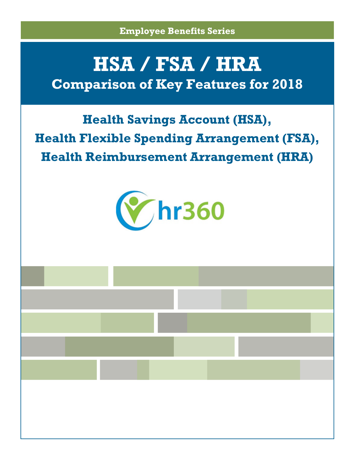**Employee Benefits Series**

# **HSA / FSA / HRA Comparison of Key Features for 2018**

## **Health Savings Account (HSA), Health Flexible Spending Arrangement (FSA), Health Reimbursement Arrangement (HRA)**



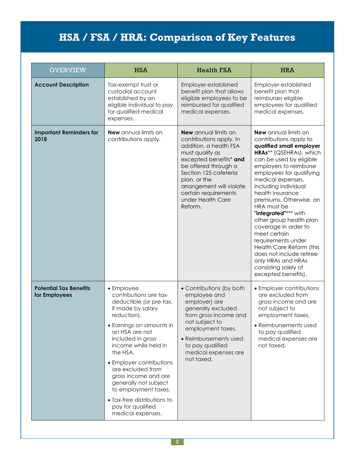| <b>OVERVIEW</b>                                | <b>HSA</b>                                                                                                                                                                                                                                                                                                                                                                                                    | <b>Health FSA</b>                                                                                                                                                                                                                                                                  | <b>HRA</b>                                                                                                                                                                                                                                                                                                                                                                                                                                                                                                                                              |
|------------------------------------------------|---------------------------------------------------------------------------------------------------------------------------------------------------------------------------------------------------------------------------------------------------------------------------------------------------------------------------------------------------------------------------------------------------------------|------------------------------------------------------------------------------------------------------------------------------------------------------------------------------------------------------------------------------------------------------------------------------------|---------------------------------------------------------------------------------------------------------------------------------------------------------------------------------------------------------------------------------------------------------------------------------------------------------------------------------------------------------------------------------------------------------------------------------------------------------------------------------------------------------------------------------------------------------|
| <b>Account Description</b>                     | Tax-exempt trust or<br>custodial account<br>established by an<br>eligible individual to pay<br>for qualified medical<br>expenses.                                                                                                                                                                                                                                                                             | Employer-established<br>benefit plan that allows<br>eligible employees to be<br>reimbursed for qualified<br>medical expenses.                                                                                                                                                      | Employer-established<br>benefit plan that<br>reimburses eligible<br>employees for qualified<br>medical expenses.                                                                                                                                                                                                                                                                                                                                                                                                                                        |
| <b>Important Reminders for</b><br>2018         | <b>New</b> annual limits on<br>contributions apply.                                                                                                                                                                                                                                                                                                                                                           | <b>New</b> annual limits on<br>contributions apply. In<br>addition, a health FSA<br>must qualify as<br>excepted benefits* and<br>be offered through a<br>Section 125 cafeteria<br>plan, or the<br>arrangement will violate<br>certain requirements<br>under Health Care<br>Reform. | <b>New</b> annual limits on<br>contributions apply to<br>qualified small employer<br>HRAs** (QSEHRAs), which<br>can be used by eligible<br>employers to reimburse<br>employees for qualifying<br>medical expenses,<br>including individual<br>health insurance<br>premiums. Otherwise, an<br>HRA must be<br>"integrated"*** with<br>other group health plan<br>coverage in order to<br>meet certain<br>requirements under<br>Health Care Reform (this<br>does not include retiree-<br>only HRAs and HRAs<br>consisting solely of<br>excepted benefits). |
| <b>Potential Tax Benefits</b><br>for Employees | • Employee<br>contributions are tax-<br>deductible (or pre-tax,<br>if made by salary<br>reduction).<br>• Earnings on amounts in<br>an HSA are not<br>included in gross<br>income while held in<br>the HSA.<br>• Employer contributions<br>are excluded from<br>gross income and are<br>generally not subject<br>to employment taxes.<br>• Tax-free distributions to<br>pay for qualified<br>medical expenses. | • Contributions (by both<br>employee and<br>employer) are<br>generally excluded<br>from gross income and<br>not subject to<br>employment taxes.<br>• Reimbursements used<br>to pay qualified<br>medical expenses are<br>not taxed.                                                 | • Employer contributions<br>are excluded from<br>gross income and are<br>not subject to<br>employment taxes.<br>• Reimbursements used<br>to pay qualified<br>medical expenses are<br>not taxed.                                                                                                                                                                                                                                                                                                                                                         |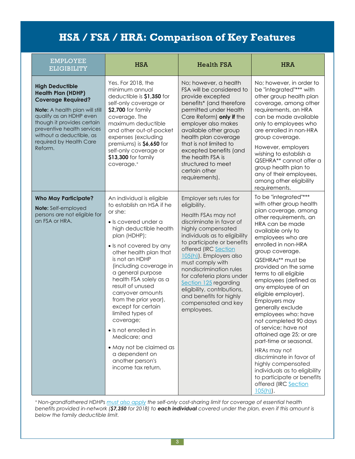| <b>EMPLOYEE</b><br><b>ELIGIBILITY</b>                                                                                                                                                                                                                                       | <b>HSA</b>                                                                                                                                                                                                                                                                                                                                                                                                                                                                                                                                   | <b>Health FSA</b>                                                                                                                                                                                                                                                                                                                                                                                                                      | <b>HRA</b>                                                                                                                                                                                                                                                                                                                                                                                                                                                                                                                                                                                                                                                                                      |
|-----------------------------------------------------------------------------------------------------------------------------------------------------------------------------------------------------------------------------------------------------------------------------|----------------------------------------------------------------------------------------------------------------------------------------------------------------------------------------------------------------------------------------------------------------------------------------------------------------------------------------------------------------------------------------------------------------------------------------------------------------------------------------------------------------------------------------------|----------------------------------------------------------------------------------------------------------------------------------------------------------------------------------------------------------------------------------------------------------------------------------------------------------------------------------------------------------------------------------------------------------------------------------------|-------------------------------------------------------------------------------------------------------------------------------------------------------------------------------------------------------------------------------------------------------------------------------------------------------------------------------------------------------------------------------------------------------------------------------------------------------------------------------------------------------------------------------------------------------------------------------------------------------------------------------------------------------------------------------------------------|
| <b>High Deductible</b><br><b>Health Plan (HDHP)</b><br><b>Coverage Required?</b><br>Note: A health plan will still<br>qualify as an HDHP even<br>though it provides certain<br>preventive health services<br>without a deductible, as<br>required by Health Care<br>Reform. | Yes. For 2018, the<br>minimum annual<br>deductible is \$1,350 for<br>self-only coverage or<br>\$2,700 for family<br>coverage. The<br>maximum deductible<br>and other out-of-pocket<br>expenses (excluding<br>premiums) is \$6,650 for<br>self-only coverage or<br>\$13,300 for family<br>coverage. <sup>+</sup>                                                                                                                                                                                                                              | No; however, a health<br>FSA will be considered to<br>provide excepted<br>benefits* (and therefore<br>permitted under Health<br>Care Reform) only if the<br>employer also makes<br>available other group<br>health plan coverage<br>that is not limited to<br>excepted benefits (and<br>the health FSA is<br>structured to meet<br>certain other<br>requirements).                                                                     | No; however, in order to<br>be "integrated"*** with<br>other group health plan<br>coverage, among other<br>requirements, an HRA<br>can be made available<br>only to employees who<br>are enrolled in non-HRA<br>group coverage.<br>However, employers<br>wishing to establish a<br>QSEHRA** cannot offer a<br>group health plan to<br>any of their employees,<br>among other eligibility<br>requirements.                                                                                                                                                                                                                                                                                       |
| <b>Who May Participate?</b><br>Note: Self-employed<br>persons are not eligible for<br>an FSA or HRA.                                                                                                                                                                        | An individual is eligible<br>to establish an HSA if he<br>or she:<br>· Is covered under a<br>high deductible health<br>plan (HDHP);<br>• Is not covered by any<br>other health plan that<br>is not an HDHP<br>(including coverage in<br>a general purpose<br>health FSA solely as a<br>result of unused<br>carryover amounts<br>from the prior year),<br>except for certain<br>limited types of<br>coverage;<br>• Is not enrolled in<br>Medicare; and<br>• May not be claimed as<br>a dependent on<br>another person's<br>income tax return. | Employer sets rules for<br>eligibility.<br>Health FSAs may not<br>discriminate in favor of<br>highly compensated<br>individuals as to eligibility<br>to participate or benefits<br>offered (IRC Section<br>105(h)). Employers also<br>must comply with<br>nondiscrimination rules<br>for cafeteria plans under<br>Section 125 regarding<br>eligibility, contributions,<br>and benefits for highly<br>compensated and key<br>employees. | To be "integrated"***<br>with other group health<br>plan coverage, among<br>other requirements, an<br>HRA can be made<br>available only to<br>employees who are<br>enrolled in non-HRA<br>group coverage.<br>QSEHRAs** must be<br>provided on the same<br>terms to all eligible<br>employees (defined as<br>any employee of an<br>eligible employer).<br>Employers may<br>generally exclude<br>employees who: have<br>not completed 90 days<br>of service; have not<br>attained age 25; or are<br>part-time or seasonal.<br>HRAs may not<br>discriminate in favor of<br>highly compensated<br>individuals as to eligibility<br>to participate or benefits<br>offered (IRC Section<br>$105(h)$ . |

*<sup>+</sup> Non-grandfathered HDHPs must also [apply](http://www.dol.gov/ebsa/faqs/faq-aca27.html) the self-only cost-sharing limit for coverage of essential health* benefits provided in-network (**\$7,350** for 2018) to **each individual** covered under the plan, even if this amount is *below the family deductible limit.*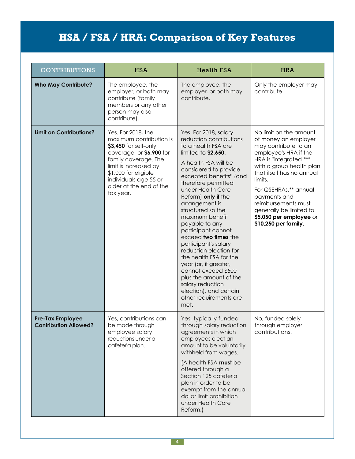| <b>CONTRIBUTIONS</b>                             | <b>HSA</b>                                                                                                                                                                                                                                   | <b>Health FSA</b>                                                                                                                                                                                                                                                                                                                                                                                                                                                                                                                                                                                               | <b>HRA</b>                                                                                                                                                                                                                                                                                                                                  |
|--------------------------------------------------|----------------------------------------------------------------------------------------------------------------------------------------------------------------------------------------------------------------------------------------------|-----------------------------------------------------------------------------------------------------------------------------------------------------------------------------------------------------------------------------------------------------------------------------------------------------------------------------------------------------------------------------------------------------------------------------------------------------------------------------------------------------------------------------------------------------------------------------------------------------------------|---------------------------------------------------------------------------------------------------------------------------------------------------------------------------------------------------------------------------------------------------------------------------------------------------------------------------------------------|
| <b>Who May Contribute?</b>                       | The employee, the<br>employer, or both may<br>contribute (family<br>members or any other<br>person may also<br>contribute).                                                                                                                  | The employee, the<br>employer, or both may<br>contribute.                                                                                                                                                                                                                                                                                                                                                                                                                                                                                                                                                       | Only the employer may<br>contribute.                                                                                                                                                                                                                                                                                                        |
| <b>Limit on Contributions?</b>                   | Yes. For 2018, the<br>maximum contribution is<br>\$3,450 for self-only<br>coverage, or \$6,900 for<br>family coverage. The<br>limit is increased by<br>\$1,000 for eligible<br>individuals age 55 or<br>older at the end of the<br>tax year. | Yes. For 2018, salary<br>reduction contributions<br>to a health FSA are<br>limited to $$2,650$ .<br>A health FSA will be<br>considered to provide<br>excepted benefits* (and<br>therefore permitted<br>under Health Care<br>Reform) only if the<br>arrangement is<br>structured so the<br>maximum benefit<br>payable to any<br>participant cannot<br>exceed two times the<br>participant's salary<br>reduction election for<br>the health FSA for the<br>year (or, if greater,<br>cannot exceed \$500<br>plus the amount of the<br>salary reduction<br>election), and certain<br>other requirements are<br>met. | No limit on the amount<br>of money an employer<br>may contribute to an<br>employee's HRA if the<br>HRA is "integrated"***<br>with a group health plan<br>that itself has no annual<br>limits.<br>For QSEHRAs,** annual<br>payments and<br>reimbursements must<br>generally be limited to<br>\$5,050 per employee or<br>\$10,250 per family. |
| Pre-Tax Employee<br><b>Contribution Allowed?</b> | Yes, contributions can<br>be made through<br>employee salary<br>reductions under a<br>cafeteria plan.                                                                                                                                        | Yes, typically funded<br>through salary reduction<br>agreements in which<br>employees elect an<br>amount to be voluntarily<br>withheld from wages.<br>(A health FSA must be<br>offered through a<br>Section 125 cafeteria<br>plan in order to be<br>exempt from the annual<br>dollar limit prohibition<br>under Health Care<br>Reform.)                                                                                                                                                                                                                                                                         | No, funded solely<br>through employer<br>contributions.                                                                                                                                                                                                                                                                                     |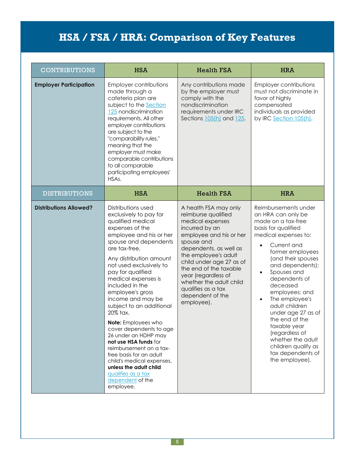| <b>CONTRIBUTIONS</b>          | <b>HSA</b>                                                                                                                                                                                                                                                                                                                                                                                                                                                                                                                                                                                                                             | <b>Health FSA</b>                                                                                                                                                                                                                                                                                                                             | <b>HRA</b>                                                                                                                                                                                                                                                                                                                                                                                                                                                                                         |
|-------------------------------|----------------------------------------------------------------------------------------------------------------------------------------------------------------------------------------------------------------------------------------------------------------------------------------------------------------------------------------------------------------------------------------------------------------------------------------------------------------------------------------------------------------------------------------------------------------------------------------------------------------------------------------|-----------------------------------------------------------------------------------------------------------------------------------------------------------------------------------------------------------------------------------------------------------------------------------------------------------------------------------------------|----------------------------------------------------------------------------------------------------------------------------------------------------------------------------------------------------------------------------------------------------------------------------------------------------------------------------------------------------------------------------------------------------------------------------------------------------------------------------------------------------|
| <b>Employer Participation</b> | Employer contributions<br>made through a<br>cafeteria plan are<br>subject to the Section<br>125 nondiscrimination<br>requirements. All other<br>employer contributions<br>are subject to the<br>"comparability rules,"<br>meaning that the<br>employer must make<br>comparable contributions<br>to all comparable<br>participating employees'<br>HSAs.                                                                                                                                                                                                                                                                                 | Any contributions made<br>by the employer must<br>comply with the<br>nondiscrimination<br>requirements under IRC<br>Sections 105(h) and 125.                                                                                                                                                                                                  | Employer contributions<br>must not discriminate in<br>favor of highly<br>compensated<br>individuals as provided<br>by IRC Section 105(h).                                                                                                                                                                                                                                                                                                                                                          |
| <b>DISTRIBUTIONS</b>          | <b>HSA</b>                                                                                                                                                                                                                                                                                                                                                                                                                                                                                                                                                                                                                             | <b>Health FSA</b>                                                                                                                                                                                                                                                                                                                             | <b>HRA</b>                                                                                                                                                                                                                                                                                                                                                                                                                                                                                         |
| <b>Distributions Allowed?</b> | Distributions used<br>exclusively to pay for<br>qualified medical<br>expenses of the<br>employee and his or her<br>spouse and dependents<br>are tax-free.<br>Any distribution amount<br>not used exclusively to<br>pay for qualified<br>medical expenses is<br>included in the<br>employee's gross<br>income and may be<br>subject to an additional<br>20% tax.<br>Note: Employees who<br>cover dependents to age<br>26 under an HDHP may<br>not use HSA funds for<br>reimbursement on a tax-<br>free basis for an adult<br>child's medical expenses,<br>unless the adult child<br>qualifies as a tax<br>dependent of the<br>employee. | A health FSA may only<br>reimburse qualified<br>medical expenses<br>incurred by an<br>employee and his or her<br>spouse and<br>dependents, as well as<br>the employee's adult<br>child under age 27 as of<br>the end of the taxable<br>year (regardless of<br>whether the adult child<br>qualifies as a tax<br>dependent of the<br>employee). | Reimbursements under<br>an HRA can only be<br>made on a tax-free<br>basis for qualified<br>medical expenses to:<br>Current and<br>$\bullet$<br>former employees<br>(and their spouses<br>and dependents);<br>Spouses and<br>$\bullet$<br>dependents of<br>deceased<br>employees; and<br>The employee's<br>$\bullet$<br>adult children<br>under age 27 as of<br>the end of the<br>taxable year<br>(regardless of<br>whether the adult<br>children qualify as<br>tax dependents of<br>the employee). |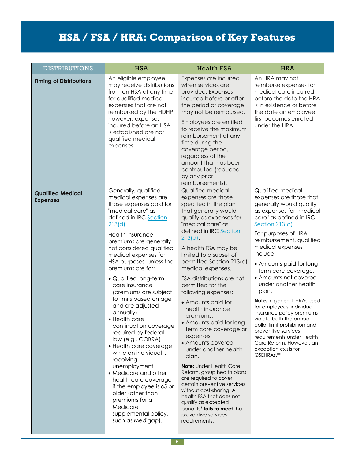| <b>DISTRIBUTIONS</b>                        | <b>HSA</b>                                                                                                                                                                                                                                                                                                                                                                                                                                                                                                                                                                                                                                                                                                                                                                   | <b>Health FSA</b>                                                                                                                                                                                                                                                                                                                                                                                                                                                                                                                                                                                                                                                                                                                                                                                                       | <b>HRA</b>                                                                                                                                                                                                                                                                                                                                                                                                                                                                                                                                                                                                                  |
|---------------------------------------------|------------------------------------------------------------------------------------------------------------------------------------------------------------------------------------------------------------------------------------------------------------------------------------------------------------------------------------------------------------------------------------------------------------------------------------------------------------------------------------------------------------------------------------------------------------------------------------------------------------------------------------------------------------------------------------------------------------------------------------------------------------------------------|-------------------------------------------------------------------------------------------------------------------------------------------------------------------------------------------------------------------------------------------------------------------------------------------------------------------------------------------------------------------------------------------------------------------------------------------------------------------------------------------------------------------------------------------------------------------------------------------------------------------------------------------------------------------------------------------------------------------------------------------------------------------------------------------------------------------------|-----------------------------------------------------------------------------------------------------------------------------------------------------------------------------------------------------------------------------------------------------------------------------------------------------------------------------------------------------------------------------------------------------------------------------------------------------------------------------------------------------------------------------------------------------------------------------------------------------------------------------|
| <b>Timing of Distributions</b>              | An eligible employee<br>may receive distributions<br>from an HSA at any time<br>for qualified medical<br>expenses that are not<br>reimbursed by the HDHP;<br>however, expenses<br>incurred before an HSA<br>is established are not<br>qualified medical<br>expenses.                                                                                                                                                                                                                                                                                                                                                                                                                                                                                                         | Expenses are incurred<br>when services are<br>provided. Expenses<br>incurred before or after<br>the period of coverage<br>may not be reimbursed.<br>Employees are entitled<br>to receive the maximum<br>reimbursement at any<br>time during the<br>coverage period,<br>regardless of the<br>amount that has been<br>contributed (reduced<br>by any prior<br>reimbursements).                                                                                                                                                                                                                                                                                                                                                                                                                                            | An HRA may not<br>reimburse expenses for<br>medical care incurred<br>before the date the HRA<br>is in existence or before<br>the date an employee<br>first becomes enrolled<br>under the HRA.                                                                                                                                                                                                                                                                                                                                                                                                                               |
| <b>Qualified Medical</b><br><b>Expenses</b> | Generally, qualified<br>medical expenses are<br>those expenses paid for<br>"medical care" as<br>defined in IRC Section<br>$213(d)$ .<br>Health insurance<br>premiums are generally<br>not considered qualified<br>medical expenses for<br>HSA purposes, unless the<br>premiums are for:<br>• Qualified long-term<br>care insurance<br>(premiums are subject<br>to limits based on age<br>and are adjusted<br>annually).<br>• Health care<br>continuation coverage<br>required by federal<br>law (e.g., COBRA).<br>• Health care coverage<br>while an individual is<br>receiving<br>unemployment.<br>• Medicare and other<br>health care coverage<br>if the employee is 65 or<br>older (other than<br>premiums for a<br>Medicare<br>supplemental policy,<br>such as Medigap). | Qualified medical<br>expenses are those<br>specified in the plan<br>that generally would<br>qualify as expenses for<br>"medical care" as<br>defined in IRC Section<br>$213(d)$ .<br>A health FSA may be<br>limited to a subset of<br>permitted Section 213(d)<br>medical expenses.<br>FSA distributions are not<br>permitted for the<br>following expenses:<br>• Amounts paid for<br>health insurance<br>premiums.<br>• Amounts paid for long-<br>term care coverage or<br>expenses.<br>• Amounts covered<br>under another health<br>plan.<br><b>Note:</b> Under Health Care<br>Reform, group health plans<br>are required to cover<br>certain preventive services<br>without cost-sharing. A<br>health FSA that does not<br>qualify as excepted<br>benefits* fails to meet the<br>preventive services<br>requirements. | Qualified medical<br>expenses are those that<br>generally would qualify<br>as expenses for "medical<br>care" as defined in IRC<br>Section 213(d).<br>For purposes of HRA<br>reimbursement, qualified<br>medical expenses<br>include:<br>• Amounts paid for long-<br>term care coverage.<br>• Amounts not covered<br>under another health<br>plan.<br>Note: In general, HRAs used<br>for employees' individual<br>insurance policy premiums<br>violate both the annual<br>dollar limit prohibition and<br>preventive services<br>requirements under Health<br>Care Reform. However, an<br>exception exists for<br>QSEHRAs.** |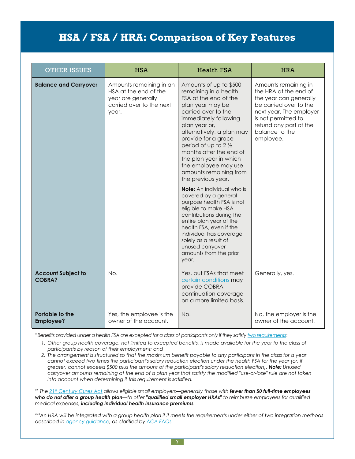| <b>OTHER ISSUES</b>                        | <b>HSA</b>                                                                                                  | <b>Health FSA</b>                                                                                                                                                                                                                                                                                                                                                                | <b>HRA</b>                                                                                                                                                                                                   |
|--------------------------------------------|-------------------------------------------------------------------------------------------------------------|----------------------------------------------------------------------------------------------------------------------------------------------------------------------------------------------------------------------------------------------------------------------------------------------------------------------------------------------------------------------------------|--------------------------------------------------------------------------------------------------------------------------------------------------------------------------------------------------------------|
| <b>Balance and Carryover</b>               | Amounts remaining in an<br>HSA at the end of the<br>year are generally<br>carried over to the next<br>year. | Amounts of up to \$500<br>remaining in a health<br>FSA at the end of the<br>plan year may be<br>carried over to the<br>immediately following<br>plan year or,<br>alternatively, a plan may<br>provide for a grace<br>period of up to $2\frac{1}{2}$<br>months after the end of<br>the plan year in which<br>the employee may use<br>amounts remaining from<br>the previous year. | Amounts remaining in<br>the HRA at the end of<br>the year can generally<br>be carried over to the<br>next year. The employer<br>is not permitted to<br>refund any part of the<br>balance to the<br>employee. |
|                                            |                                                                                                             | <b>Note:</b> An individual who is<br>covered by a general<br>purpose health FSA is not<br>eligible to make HSA<br>contributions during the<br>entire plan year of the<br>health FSA, even if the<br>individual has coverage<br>solely as a result of<br>unused carryover<br>amounts from the prior<br>year.                                                                      |                                                                                                                                                                                                              |
| <b>Account Subject to</b><br><b>COBRA?</b> | No.                                                                                                         | Yes, but FSAs that meet<br>certain conditions may<br>provide COBRA<br>continuation coverage<br>on a more limited basis.                                                                                                                                                                                                                                                          | Generally, yes.                                                                                                                                                                                              |
| Portable to the<br><b>Employee?</b>        | Yes, the employee is the<br>owner of the account.                                                           | No.                                                                                                                                                                                                                                                                                                                                                                              | No, the employer is the<br>owner of the account.                                                                                                                                                             |

\*Benefits provided under a health FSA are excepted for a class of participants only if they satisfy two [requirements](http://www.ecfr.gov/cgi-bin/text-idx?SID=6b8eff9fb69d6237fd9f48fe2b541bcb&node=29:9.1.3.12.16.4.20.2&rgn=div8):

- 1. Other group health coverage, not limited to excepted benefits, is made available for the year to the class of *participants by reason of their employment; and*
- 2. The arrangement is structured so that the maximum benefit payable to any participant in the class for a year cannot exceed two times the participant's salary reduction election under the health FSA for the year (or, if *greater, cannot exceed \$500 plus the amount of the participant's salary reduction election). Note: Unused* carryover amounts remaining at the end of a plan year that satisfy the modified "use-or-lose" rule are not taken *into account when determining if this requirement is satisfied.*

\*\* The 21st [Century](https://www.congress.gov/bill/114th-congress/house-bill/34/text#toc-HCFF0FABB859444AB8ED71110DD799717) Cures Act allows eligible small employers—generally those with fewer than 50 full-time employees who do not offer a group health plan-to offer "qualified small employer HRAs" to reimburse employees for qualified *medical expenses, including individual health insurance premiums.*

\*\*\* An HRA will be integrated with a group health plan if it meets the requirements under either of two integration methods *described in agency [guidance,](http://www.dol.gov/ebsa/newsroom/tr13-03.html) as clarified by ACA [FAQs.](https://www.dol.gov/sites/default/files/ebsa/about-ebsa/our-activities/resource-center/faqs/aca-part-37.pdf)*